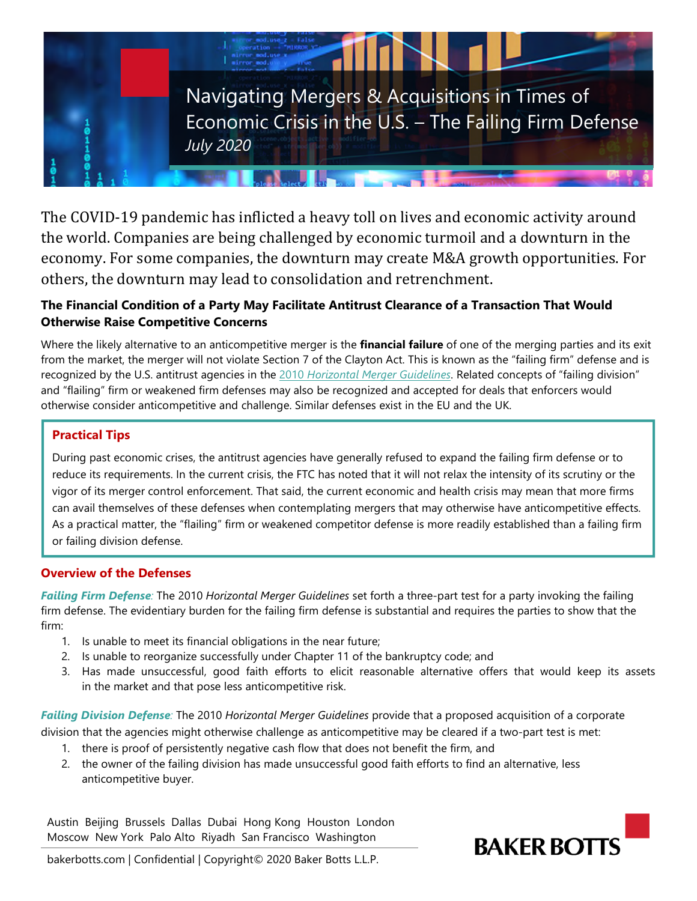

The COVID-19 pandemic has inflicted a heavy toll on lives and economic activity around the world. Companies are being challenged by economic turmoil and a downturn in the economy. For some companies, the downturn may create M&A growth opportunities. For others, the downturn may lead to consolidation and retrenchment.

# **The Financial Condition of a Party May Facilitate Antitrust Clearance of a Transaction That Would Otherwise Raise Competitive Concerns**

Where the likely alternative to an anticompetitive merger is the **financial failure** of one of the merging parties and its exit from the market, the merger will not violate Section 7 of the Clayton Act. This is known as the "failing firm" defense and is recognized by the U.S. antitrust agencies in the 2010 *[Horizontal Merger Guidelines](https://www.justice.gov/atr/horizontal-merger-guidelines-08192010)*. Related concepts of "failing division" and "flailing" firm or weakened firm defenses may also be recognized and accepted for deals that enforcers would otherwise consider anticompetitive and challenge. Similar defenses exist in the EU and the UK.

# **Practical Tips**

During past economic crises, the antitrust agencies have generally refused to expand the failing firm defense or to reduce its requirements. In the current crisis, the FTC has noted that it will not relax the intensity of its scrutiny or the vigor of its merger control enforcement. That said, the current economic and health crisis may mean that more firms can avail themselves of these defenses when contemplating mergers that may otherwise have anticompetitive effects. As a practical matter, the "flailing" firm or weakened competitor defense is more readily established than a failing firm or failing division defense.

# **Overview of the Defenses**

*Failing Firm Defense:* The 2010 *Horizontal Merger Guidelines* set forth a three-part test for a party invoking the failing firm defense. The evidentiary burden for the failing firm defense is substantial and requires the parties to show that the firm:

- 1. Is unable to meet its financial obligations in the near future;
- 2. Is unable to reorganize successfully under Chapter 11 of the bankruptcy code; and
- 3. Has made unsuccessful, good faith efforts to elicit reasonable alternative offers that would keep its assets in the market and that pose less anticompetitive risk.

*Failing Division Defense:* The 2010 *Horizontal Merger Guidelines* provide that a proposed acquisition of a corporate

division that the agencies might otherwise challenge as anticompetitive may be cleared if a two-part test is met:

- 1. there is proof of persistently negative cash flow that does not benefit the firm, and
- 2. the owner of the failing division has made unsuccessful good faith efforts to find an alternative, less anticompetitive buyer.

Austin Beijing Brussels Dallas Dubai Hong Kong Houston London Moscow New York Palo Alto Riyadh San Francisco Washington



bakerbotts.com | Confidential | Copyright© 2020 Baker Botts L.L.P.